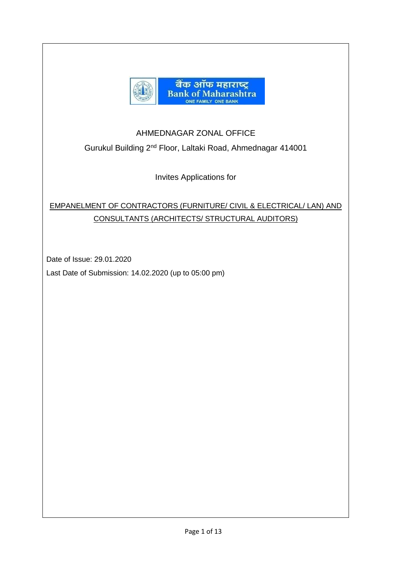

## AHMEDNAGAR ZONAL OFFICE

Gurukul Building 2nd Floor, Laltaki Road, Ahmednagar 414001

Invites Applications for

# EMPANELMENT OF CONTRACTORS (FURNITURE/ CIVIL & ELECTRICAL/ LAN) AND CONSULTANTS (ARCHITECTS/ STRUCTURAL AUDITORS)

Date of Issue: 29.01.2020

Last Date of Submission: 14.02.2020 (up to 05:00 pm)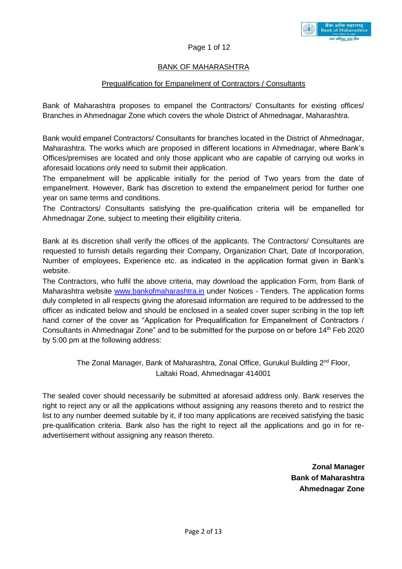

#### Page 1 of 12

### BANK OF MAHARASHTRA

#### Prequalification for Empanelment of Contractors / Consultants

Bank of Maharashtra proposes to empanel the Contractors/ Consultants for existing offices/ Branches in Ahmednagar Zone which covers the whole District of Ahmednagar, Maharashtra.

Bank would empanel Contractors/ Consultants for branches located in the District of Ahmednagar, Maharashtra. The works which are proposed in different locations in Ahmednagar, where Bank's Offices/premises are located and only those applicant who are capable of carrying out works in aforesaid locations only need to submit their application.

The empanelment will be applicable initially for the period of Two years from the date of empanelment. However, Bank has discretion to extend the empanelment period for further one year on same terms and conditions.

The Contractors/ Consultants satisfying the pre-qualification criteria will be empanelled for Ahmednagar Zone, subject to meeting their eligibility criteria.

Bank at its discretion shall verify the offices of the applicants. The Contractors/ Consultants are requested to furnish details regarding their Company, Organization Chart, Date of Incorporation, Number of employees, Experience etc. as indicated in the application format given in Bank's website.

The Contractors, who fulfil the above criteria, may download the application Form, from Bank of Maharashtra website [www.bankofmaharashtra.in](http://www.bankofmaharashtra.in/) under Notices - Tenders. The application forms duly completed in all respects giving the aforesaid information are required to be addressed to the officer as indicated below and should be enclosed in a sealed cover super scribing in the top left hand corner of the cover as "Application for Prequalification for Empanelment of Contractors / Consultants in Ahmednagar Zone" and to be submitted for the purpose on or before 14th Feb 2020 by 5:00 pm at the following address:

## The Zonal Manager, Bank of Maharashtra, Zonal Office, Gurukul Building 2<sup>nd</sup> Floor, Laltaki Road, Ahmednagar 414001

The sealed cover should necessarily be submitted at aforesaid address only. Bank reserves the right to reject any or all the applications without assigning any reasons thereto and to restrict the list to any number deemed suitable by it, if too many applications are received satisfying the basic pre-qualification criteria. Bank also has the right to reject all the applications and go in for readvertisement without assigning any reason thereto.

> **Zonal Manager Bank of Maharashtra Ahmednagar Zone**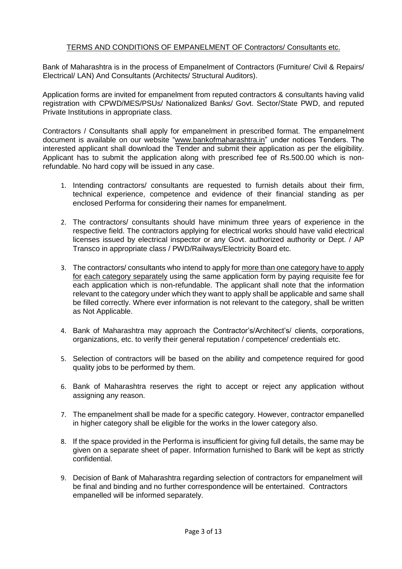#### TERMS AND CONDITIONS OF EMPANELMENT OF Contractors/ Consultants etc.

Bank of Maharashtra is in the process of Empanelment of Contractors (Furniture/ Civil & Repairs/ Electrical/ LAN) And Consultants (Architects/ Structural Auditors).

Application forms are invited for empanelment from reputed contractors & consultants having valid registration with CPWD/MES/PSUs/ Nationalized Banks/ Govt. Sector/State PWD, and reputed Private Institutions in appropriate class.

Contractors / Consultants shall apply for empanelment in prescribed format. The empanelment document is available on our website ["w](http://www.idrbt.ac.in/)ww.bankofmaharashtra.in" under notices Tenders. The interested applicant shall download the Tender and submit their application as per the eligibility. Applicant has to submit the application along with prescribed fee of Rs.500.00 which is nonrefundable. No hard copy will be issued in any case.

- 1. Intending contractors/ consultants are requested to furnish details about their firm, technical experience, competence and evidence of their financial standing as per enclosed Performa for considering their names for empanelment.
- 2. The contractors/ consultants should have minimum three years of experience in the respective field. The contractors applying for electrical works should have valid electrical licenses issued by electrical inspector or any Govt. authorized authority or Dept. / AP Transco in appropriate class / PWD/Railways/Electricity Board etc.
- 3. The contractors/ consultants who intend to apply for more than one category have to apply for each category separately using the same application form by paying requisite fee for each application which is non-refundable. The applicant shall note that the information relevant to the category under which they want to apply shall be applicable and same shall be filled correctly. Where ever information is not relevant to the category, shall be written as Not Applicable.
- 4. Bank of Maharashtra may approach the Contractor's/Architect's/ clients, corporations, organizations, etc. to verify their general reputation / competence/ credentials etc.
- 5. Selection of contractors will be based on the ability and competence required for good quality jobs to be performed by them.
- 6. Bank of Maharashtra reserves the right to accept or reject any application without assigning any reason.
- 7. The empanelment shall be made for a specific category. However, contractor empanelled in higher category shall be eligible for the works in the lower category also.
- 8. If the space provided in the Performa is insufficient for giving full details, the same may be given on a separate sheet of paper. Information furnished to Bank will be kept as strictly confidential.
- 9. Decision of Bank of Maharashtra regarding selection of contractors for empanelment will be final and binding and no further correspondence will be entertained. Contractors empanelled will be informed separately.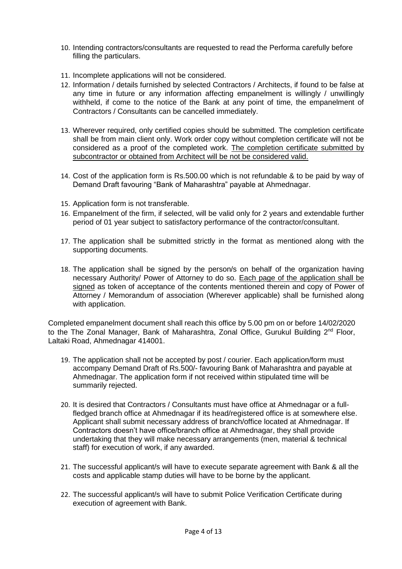- 10. Intending contractors/consultants are requested to read the Performa carefully before filling the particulars.
- 11. Incomplete applications will not be considered.
- 12. Information / details furnished by selected Contractors / Architects, if found to be false at any time in future or any information affecting empanelment is willingly / unwillingly withheld, if come to the notice of the Bank at any point of time, the empanelment of Contractors / Consultants can be cancelled immediately.
- 13. Wherever required, only certified copies should be submitted. The completion certificate shall be from main client only. Work order copy without completion certificate will not be considered as a proof of the completed work. The completion certificate submitted by subcontractor or obtained from Architect will be not be considered valid.
- 14. Cost of the application form is Rs.500.00 which is not refundable & to be paid by way of Demand Draft favouring "Bank of Maharashtra" payable at Ahmednagar.
- 15. Application form is not transferable.
- 16. Empanelment of the firm, if selected, will be valid only for 2 years and extendable further period of 01 year subject to satisfactory performance of the contractor/consultant.
- 17. The application shall be submitted strictly in the format as mentioned along with the supporting documents.
- 18. The application shall be signed by the person/s on behalf of the organization having necessary Authority/ Power of Attorney to do so. Each page of the application shall be signed as token of acceptance of the contents mentioned therein and copy of Power of Attorney / Memorandum of association (Wherever applicable) shall be furnished along with application.

Completed empanelment document shall reach this office by 5.00 pm on or before 14/02/2020 to the The Zonal Manager, Bank of Maharashtra, Zonal Office, Gurukul Building 2<sup>nd</sup> Floor, Laltaki Road, Ahmednagar 414001.

- 19. The application shall not be accepted by post / courier. Each application/form must accompany Demand Draft of Rs.500/- favouring Bank of Maharashtra and payable at Ahmednagar. The application form if not received within stipulated time will be summarily rejected.
- 20. It is desired that Contractors / Consultants must have office at Ahmednagar or a fullfledged branch office at Ahmednagar if its head/registered office is at somewhere else. Applicant shall submit necessary address of branch/office located at Ahmednagar. If Contractors doesn't have office/branch office at Ahmednagar, they shall provide undertaking that they will make necessary arrangements (men, material & technical staff) for execution of work, if any awarded.
- 21. The successful applicant/s will have to execute separate agreement with Bank & all the costs and applicable stamp duties will have to be borne by the applicant.
- 22. The successful applicant/s will have to submit Police Verification Certificate during execution of agreement with Bank.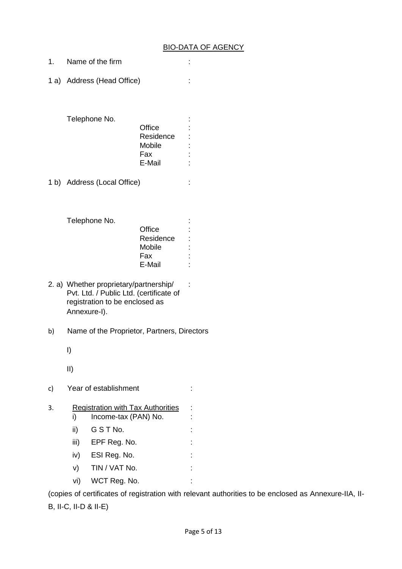#### BIO-DATA OF AGENCY

- 1. Name of the firm :
- 1 a) Address (Head Office) :

| Telephone No. |           |  |
|---------------|-----------|--|
|               | Office    |  |
|               | Residence |  |
|               | Mobile    |  |
|               | Fax       |  |
|               | E-Mail    |  |

1 b) Address (Local Office) :

|           | $\blacksquare$ |
|-----------|----------------|
| Office    | İ              |
| Residence | t              |
| Mobile    | ٠              |
| Fax       | I              |
| E-Mail    | ٠              |
|           |                |

- 2. a) Whether proprietary/partnership/ : Pvt. Ltd. / Public Ltd. (certificate of registration to be enclosed as Annexure-I).
- b) Name of the Proprietor, Partners, Directors
	- I)

II)

c) Year of establishment :

#### 3. Registration with Tax Authorities :

- i) Income-tax (PAN) No. :
- ii) G S T No. :
- iii) EPF Reg. No.  $\qquad \qquad$  :
- iv) ESI Reg. No. : : : :
- v) TIN / VAT No. :
- vi) WCT Reg. No. :

(copies of certificates of registration with relevant authorities to be enclosed as Annexure-IIA, II-B, II-C, II-D & II-E)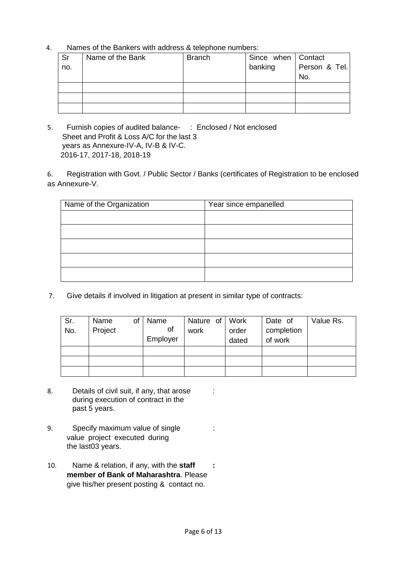4. Names of the Bankers with address & telephone numbers:

| Sr  | Name of the Bank | <b>Branch</b> | Since when   Contact |               |
|-----|------------------|---------------|----------------------|---------------|
| no. |                  |               | banking              | Person & Tel. |
|     |                  |               |                      | No.           |
|     |                  |               |                      |               |
|     |                  |               |                      |               |
|     |                  |               |                      |               |

5. Furnish copies of audited balance- : Enclosed / Not enclosed Sheet and Profit & Loss A/C for the last 3 years as Annexure-IV-A, IV-B & IV-C. 2016-17, 2017-18, 2018-19

6. Registration with Govt. / Public Sector / Banks (certificates of Registration to be enclosed as Annexure-V.

| Name of the Organization | Year since empanelled |
|--------------------------|-----------------------|
|                          |                       |
|                          |                       |
|                          |                       |
|                          |                       |
|                          |                       |

7. Give details if involved in litigation at present in similar type of contracts:

| Sr.<br>No. | Name<br>of<br>Project | Name<br>οf<br>Employer | Nature of<br>work | Work<br>order<br>dated | Date of<br>completion<br>of work | Value Rs. |
|------------|-----------------------|------------------------|-------------------|------------------------|----------------------------------|-----------|
|            |                       |                        |                   |                        |                                  |           |
|            |                       |                        |                   |                        |                                  |           |
|            |                       |                        |                   |                        |                                  |           |

- 8. Details of civil suit, if any, that arose : during execution of contract in the past 5 years.
- 9. Specify maximum value of single : value project executed during the last03 years.
- 10. Name & relation, if any, with the **staff : member of Bank of Maharashtra**. Please give his/her present posting & contact no.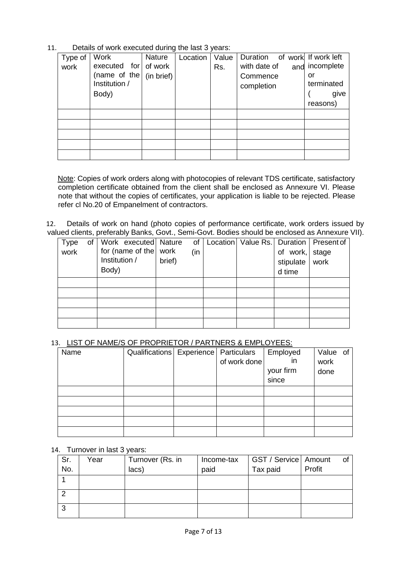| Type of | <b>Work</b>   | Nature     | Location | Value | Duration of work If work left |            |
|---------|---------------|------------|----------|-------|-------------------------------|------------|
| work    | executed for  | of work    |          | Rs.   | with date of<br>and           | incomplete |
|         | (name of the  | (in brief) |          |       | Commence                      | or         |
|         | Institution / |            |          |       | completion                    | terminated |
|         | Body)         |            |          |       |                               | give       |
|         |               |            |          |       |                               | reasons)   |
|         |               |            |          |       |                               |            |
|         |               |            |          |       |                               |            |
|         |               |            |          |       |                               |            |
|         |               |            |          |       |                               |            |
|         |               |            |          |       |                               |            |

11. Details of work executed during the last 3 years:

Note: Copies of work orders along with photocopies of relevant TDS certificate, satisfactory completion certificate obtained from the client shall be enclosed as Annexure VI. Please note that without the copies of certificates, your application is liable to be rejected. Please refer cl No.20 of Empanelment of contractors.

12. Details of work on hand (photo copies of performance certificate, work orders issued by valued clients, preferably Banks, Govt., Semi-Govt. Bodies should be enclosed as Annexure VII).

| Type | of |               | Work executed Nature          |        | of  |  |                | Location   Value Rs.   Duration   Present of |
|------|----|---------------|-------------------------------|--------|-----|--|----------------|----------------------------------------------|
| work |    |               | for (name of the $\vert$ work |        | (in |  | of work, stage |                                              |
|      |    | Institution / |                               | brief) |     |  | stipulate      | work                                         |
|      |    | Body)         |                               |        |     |  | d time         |                                              |
|      |    |               |                               |        |     |  |                |                                              |
|      |    |               |                               |        |     |  |                |                                              |
|      |    |               |                               |        |     |  |                |                                              |
|      |    |               |                               |        |     |  |                |                                              |
|      |    |               |                               |        |     |  |                |                                              |

#### 13. LIST OF NAME/S OF PROPRIETOR / PARTNERS & EMPLOYEES:

| Name | Qualifications   Experience   Particulars |              | Employed  | Value of |  |
|------|-------------------------------------------|--------------|-----------|----------|--|
|      |                                           | of work done | in        | work     |  |
|      |                                           |              | your firm | done     |  |
|      |                                           |              | since     |          |  |
|      |                                           |              |           |          |  |
|      |                                           |              |           |          |  |
|      |                                           |              |           |          |  |
|      |                                           |              |           |          |  |
|      |                                           |              |           |          |  |

#### 14. Turnover in last 3 years:

| Sr. | Year | Turnover (Rs. in | Income-tax | GST / Service   Amount | of     |  |
|-----|------|------------------|------------|------------------------|--------|--|
| No. |      | lacs)            | paid       | Tax paid               | Profit |  |
|     |      |                  |            |                        |        |  |
|     |      |                  |            |                        |        |  |
|     |      |                  |            |                        |        |  |
| ົ   |      |                  |            |                        |        |  |
|     |      |                  |            |                        |        |  |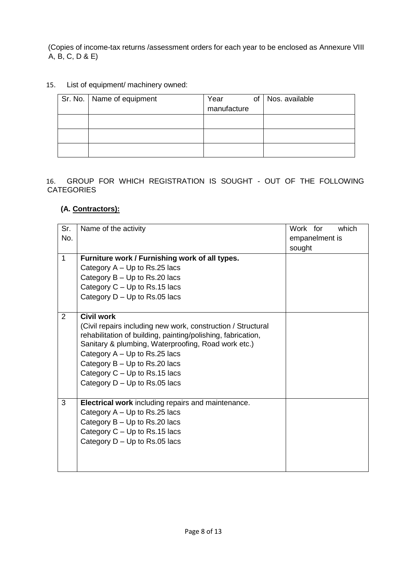(Copies of income-tax returns /assessment orders for each year to be enclosed as Annexure VIII A, B, C, D & E)

## 15. List of equipment/ machinery owned:

| Sr. No.   Name of equipment | Year<br>of<br>manufacture | Nos. available |
|-----------------------------|---------------------------|----------------|
|                             |                           |                |
|                             |                           |                |
|                             |                           |                |

16. GROUP FOR WHICH REGISTRATION IS SOUGHT - OUT OF THE FOLLOWING **CATEGORIES** 

## **(A. Contractors):**

| Sr.          | Name of the activity                                         | Work for |                | which |
|--------------|--------------------------------------------------------------|----------|----------------|-------|
| No.          |                                                              |          | empanelment is |       |
|              |                                                              | sought   |                |       |
| $\mathbf{1}$ | Furniture work / Furnishing work of all types.               |          |                |       |
|              | Category $A - Up$ to Rs.25 lacs                              |          |                |       |
|              | Category B - Up to Rs.20 lacs                                |          |                |       |
|              | Category $C - Up$ to Rs.15 lacs                              |          |                |       |
|              | Category $D - Up$ to Rs.05 lacs                              |          |                |       |
|              |                                                              |          |                |       |
| 2            | <b>Civil work</b>                                            |          |                |       |
|              | (Civil repairs including new work, construction / Structural |          |                |       |
|              | rehabilitation of building, painting/polishing, fabrication, |          |                |       |
|              | Sanitary & plumbing, Waterproofing, Road work etc.)          |          |                |       |
|              | Category A - Up to Rs.25 lacs                                |          |                |       |
|              | Category B - Up to Rs.20 lacs                                |          |                |       |
|              | Category $C - Up$ to Rs.15 lacs                              |          |                |       |
|              | Category $D - Up$ to Rs.05 lacs                              |          |                |       |
|              |                                                              |          |                |       |
| 3            | <b>Electrical work</b> including repairs and maintenance.    |          |                |       |
|              | Category $A - Up$ to Rs.25 lacs                              |          |                |       |
|              | Category $B - Up$ to Rs.20 lacs                              |          |                |       |
|              | Category $C - Up$ to Rs.15 lacs                              |          |                |       |
|              | Category D - Up to Rs.05 lacs                                |          |                |       |
|              |                                                              |          |                |       |
|              |                                                              |          |                |       |
|              |                                                              |          |                |       |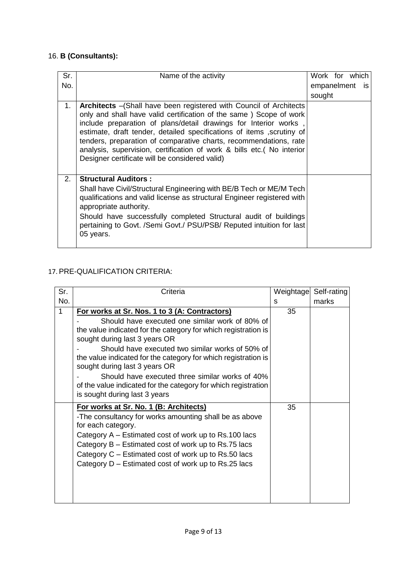# 16. **B (Consultants):**

| Sr. | Name of the activity                                                                                                                                                                                                                                                                                                                                                                                                                                                                            | Work for which |  |     |
|-----|-------------------------------------------------------------------------------------------------------------------------------------------------------------------------------------------------------------------------------------------------------------------------------------------------------------------------------------------------------------------------------------------------------------------------------------------------------------------------------------------------|----------------|--|-----|
| No. |                                                                                                                                                                                                                                                                                                                                                                                                                                                                                                 | empanelment    |  | is. |
|     |                                                                                                                                                                                                                                                                                                                                                                                                                                                                                                 | sought         |  |     |
| 1.  | <b>Architects</b> - (Shall have been registered with Council of Architects<br>only and shall have valid certification of the same ) Scope of work<br>include preparation of plans/detail drawings for Interior works<br>estimate, draft tender, detailed specifications of items , scrutiny of<br>tenders, preparation of comparative charts, recommendations, rate<br>analysis, supervision, certification of work & bills etc. (No interior<br>Designer certificate will be considered valid) |                |  |     |
| 2.  | <b>Structural Auditors:</b><br>Shall have Civil/Structural Engineering with BE/B Tech or ME/M Tech<br>qualifications and valid license as structural Engineer registered with<br>appropriate authority.<br>Should have successfully completed Structural audit of buildings<br>pertaining to Govt. /Semi Govt./ PSU/PSB/ Reputed intuition for last<br>05 years.                                                                                                                                |                |  |     |

# 17. PRE-QUALIFICATION CRITERIA:

| Sr.          | Criteria                                                                                                                                                                                                                                                                                                                                                | Weightage | Self-rating |
|--------------|---------------------------------------------------------------------------------------------------------------------------------------------------------------------------------------------------------------------------------------------------------------------------------------------------------------------------------------------------------|-----------|-------------|
| No.          |                                                                                                                                                                                                                                                                                                                                                         | S         | marks       |
| $\mathbf{1}$ | For works at Sr. Nos. 1 to 3 (A: Contractors)                                                                                                                                                                                                                                                                                                           | 35        |             |
|              | Should have executed one similar work of 80% of<br>the value indicated for the category for which registration is                                                                                                                                                                                                                                       |           |             |
|              | sought during last 3 years OR                                                                                                                                                                                                                                                                                                                           |           |             |
|              | Should have executed two similar works of 50% of<br>the value indicated for the category for which registration is<br>sought during last 3 years OR                                                                                                                                                                                                     |           |             |
|              | Should have executed three similar works of 40%<br>of the value indicated for the category for which registration<br>is sought during last 3 years                                                                                                                                                                                                      |           |             |
|              | For works at Sr. No. 1 (B: Architects)<br>-The consultancy for works amounting shall be as above<br>for each category.<br>Category A – Estimated cost of work up to Rs.100 lacs<br>Category B – Estimated cost of work up to Rs.75 lacs<br>Category C – Estimated cost of work up to Rs.50 lacs<br>Category D – Estimated cost of work up to Rs.25 lacs | 35        |             |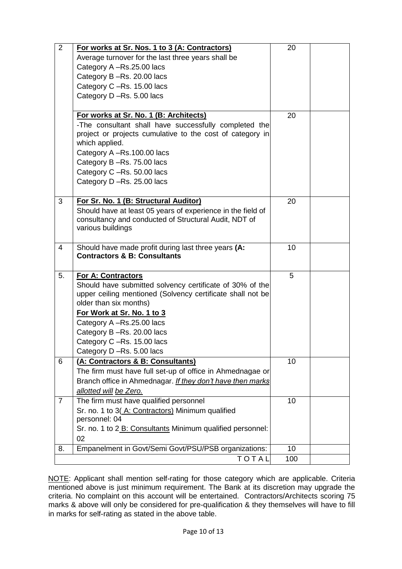| $\overline{2}$ | For works at Sr. Nos. 1 to 3 (A: Contractors)                                                                          | 20        |  |
|----------------|------------------------------------------------------------------------------------------------------------------------|-----------|--|
|                | Average turnover for the last three years shall be                                                                     |           |  |
|                | Category A -Rs.25.00 lacs                                                                                              |           |  |
|                | Category B-Rs. 20.00 lacs                                                                                              |           |  |
|                | Category C -Rs. 15.00 lacs                                                                                             |           |  |
|                | Category D-Rs. 5.00 lacs                                                                                               |           |  |
|                |                                                                                                                        |           |  |
|                | For works at Sr. No. 1 (B: Architects)                                                                                 | 20        |  |
|                | -The consultant shall have successfully completed the                                                                  |           |  |
|                | project or projects cumulative to the cost of category in                                                              |           |  |
|                | which applied.                                                                                                         |           |  |
|                | Category A-Rs.100.00 lacs                                                                                              |           |  |
|                | Category B-Rs. 75.00 lacs                                                                                              |           |  |
|                | Category C-Rs. 50.00 lacs                                                                                              |           |  |
|                | Category D-Rs. 25.00 lacs                                                                                              |           |  |
|                |                                                                                                                        |           |  |
| 3              | For Sr. No. 1 (B: Structural Auditor)                                                                                  | 20        |  |
|                | Should have at least 05 years of experience in the field of                                                            |           |  |
|                | consultancy and conducted of Structural Audit, NDT of                                                                  |           |  |
|                | various buildings                                                                                                      |           |  |
|                |                                                                                                                        |           |  |
| $\overline{4}$ | Should have made profit during last three years (A:                                                                    | 10        |  |
|                | <b>Contractors &amp; B: Consultants</b>                                                                                |           |  |
| 5.             |                                                                                                                        | 5         |  |
|                | <b>For A: Contractors</b>                                                                                              |           |  |
|                | Should have submitted solvency certificate of 30% of the<br>upper ceiling mentioned (Solvency certificate shall not be |           |  |
|                | older than six months)                                                                                                 |           |  |
|                | For Work at Sr. No. 1 to 3                                                                                             |           |  |
|                | Category A -Rs.25.00 lacs                                                                                              |           |  |
|                | Category B-Rs. 20.00 lacs                                                                                              |           |  |
|                | Category C-Rs. 15.00 lacs                                                                                              |           |  |
|                | Category D-Rs. 5.00 lacs                                                                                               |           |  |
| 6              | (A: Contractors & B: Consultants)                                                                                      | 10        |  |
|                | The firm must have full set-up of office in Ahmednagae or                                                              |           |  |
|                | Branch office in Ahmednagar. If they don't have then marks                                                             |           |  |
|                | allotted will be Zero.                                                                                                 |           |  |
| $\overline{7}$ | The firm must have qualified personnel                                                                                 | 10        |  |
|                | Sr. no. 1 to 3(A: Contractors) Minimum qualified                                                                       |           |  |
|                |                                                                                                                        |           |  |
|                |                                                                                                                        |           |  |
|                | personnel: 04                                                                                                          |           |  |
|                | Sr. no. 1 to 2 B: Consultants Minimum qualified personnel:                                                             |           |  |
|                | 02                                                                                                                     |           |  |
| 8.             | Empanelment in Govt/Semi Govt/PSU/PSB organizations:<br>TOTAL                                                          | 10<br>100 |  |

NOTE: Applicant shall mention self-rating for those category which are applicable. Criteria mentioned above is just minimum requirement. The Bank at its discretion may upgrade the criteria. No complaint on this account will be entertained. Contractors/Architects scoring 75 marks & above will only be considered for pre-qualification & they themselves will have to fill in marks for self-rating as stated in the above table.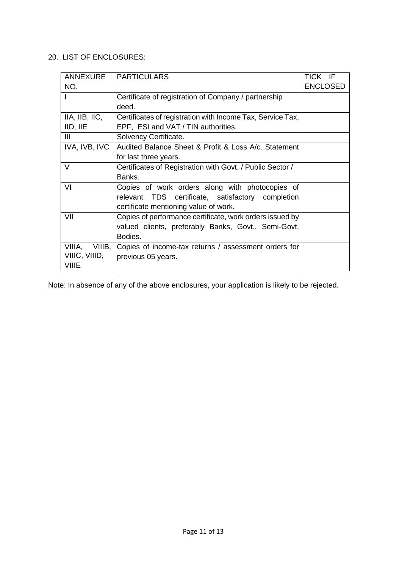## 20. LIST OF ENCLOSURES:

| ANNEXURE           | <b>PARTICULARS</b>                                         | TICK IF         |
|--------------------|------------------------------------------------------------|-----------------|
| NO.                |                                                            | <b>ENCLOSED</b> |
|                    | Certificate of registration of Company / partnership       |                 |
|                    | deed.                                                      |                 |
| IIA, IIB, IIC,     | Certificates of registration with Income Tax, Service Tax, |                 |
| IID, IIE           | EPF, ESI and VAT / TIN authorities.                        |                 |
| III                | Solvency Certificate.                                      |                 |
| IVA, IVB, IVC      | Audited Balance Sheet & Profit & Loss A/c. Statement       |                 |
|                    | for last three years.                                      |                 |
| V                  | Certificates of Registration with Govt. / Public Sector /  |                 |
|                    | Banks.                                                     |                 |
| VI                 | Copies of work orders along with photocopies of            |                 |
|                    | relevant TDS certificate, satisfactory completion          |                 |
|                    | certificate mentioning value of work.                      |                 |
| VII                | Copies of performance certificate, work orders issued by   |                 |
|                    | valued clients, preferably Banks, Govt., Semi-Govt.        |                 |
|                    | Bodies.                                                    |                 |
| VIIIA,<br>VIIIB, I | Copies of income-tax returns / assessment orders for       |                 |
| VIIIC, VIIID,      | previous 05 years.                                         |                 |
| <b>VIIIE</b>       |                                                            |                 |

Note: In absence of any of the above enclosures, your application is likely to be rejected.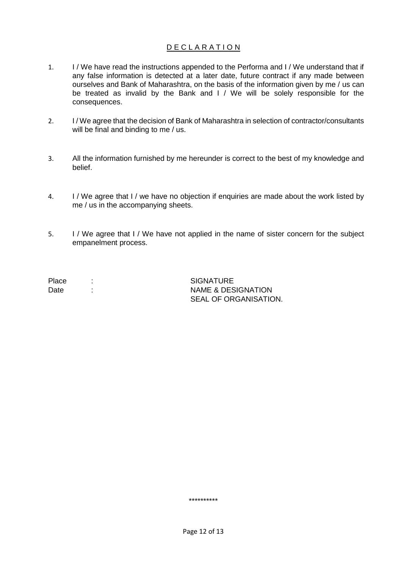## D E C L A R A T I O N

- 1. I / We have read the instructions appended to the Performa and I / We understand that if any false information is detected at a later date, future contract if any made between ourselves and Bank of Maharashtra, on the basis of the information given by me / us can be treated as invalid by the Bank and I / We will be solely responsible for the consequences.
- 2. I / We agree that the decision of Bank of Maharashtra in selection of contractor/consultants will be final and binding to me / us.
- 3. All the information furnished by me hereunder is correct to the best of my knowledge and belief.
- 4. I / We agree that I / we have no objection if enquiries are made about the work listed by me / us in the accompanying sheets.
- 5. I / We agree that I / We have not applied in the name of sister concern for the subject empanelment process.

Place : SIGNATURE Date : NAME & DESIGNATION SEAL OF ORGANISATION.

\*\*\*\*\*\*\*\*\*\*